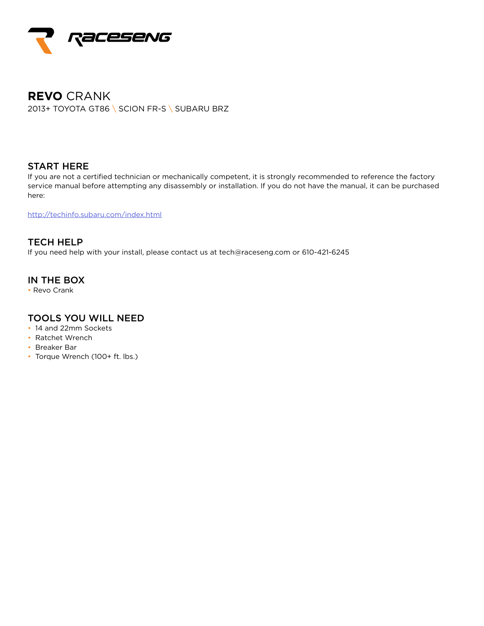

# **REVO** CRANK 2013+ TOYOTA GT86 \ SCION FR-S \ SUBARU BRZ

#### START HERE

If you are not a certified technician or mechanically competent, it is strongly recommended to reference the factory service manual before attempting any disassembly or installation. If you do not have the manual, it can be purchased here:

http://techinfo.subaru.com/index.html

TECH HELP If you need help with your install, please contact us at tech@raceseng.com or 610-421-6245

## IN THE BOX

• Revo Crank

## TOOLS YOU WILL NEED

- 14 and 22mm Sockets
- Ratchet Wrench
- Breaker Bar
- Torque Wrench (100+ ft. lbs.)